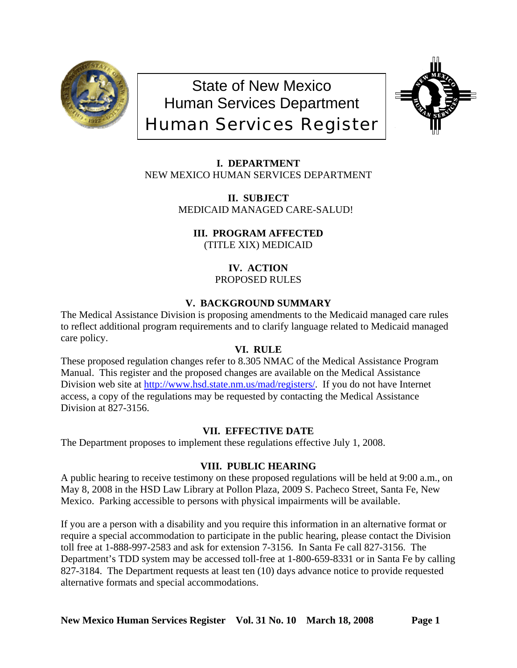

State of New Mexico Human Services Department Human Services Register



**I. DEPARTMENT** NEW MEXICO HUMAN SERVICES DEPARTMENT

> **II. SUBJECT** MEDICAID MANAGED CARE-SALUD!

**III. PROGRAM AFFECTED** (TITLE XIX) MEDICAID

> **IV. ACTION** PROPOSED RULES

# **V. BACKGROUND SUMMARY**

The Medical Assistance Division is proposing amendments to the Medicaid managed care rules to reflect additional program requirements and to clarify language related to Medicaid managed care policy.

## **VI. RULE**

These proposed regulation changes refer to 8.305 NMAC of the Medical Assistance Program Manual. This register and the proposed changes are available on the Medical Assistance Division web site at <http://www.hsd.state.nm.us/mad/registers/>. If you do not have Internet access, a copy of the regulations may be requested by contacting the Medical Assistance Division at 827-3156.

## **VII. EFFECTIVE DATE**

The Department proposes to implement these regulations effective July 1, 2008.

## **VIII. PUBLIC HEARING**

A public hearing to receive testimony on these proposed regulations will be held at 9:00 a.m., on May 8, 2008 in the HSD Law Library at Pollon Plaza, 2009 S. Pacheco Street, Santa Fe, New Mexico. Parking accessible to persons with physical impairments will be available.

If you are a person with a disability and you require this information in an alternative format or require a special accommodation to participate in the public hearing, please contact the Division toll free at 1-888-997-2583 and ask for extension 7-3156. In Santa Fe call 827-3156. The Department's TDD system may be accessed toll-free at 1-800-659-8331 or in Santa Fe by calling 827-3184. The Department requests at least ten (10) days advance notice to provide requested alternative formats and special accommodations.